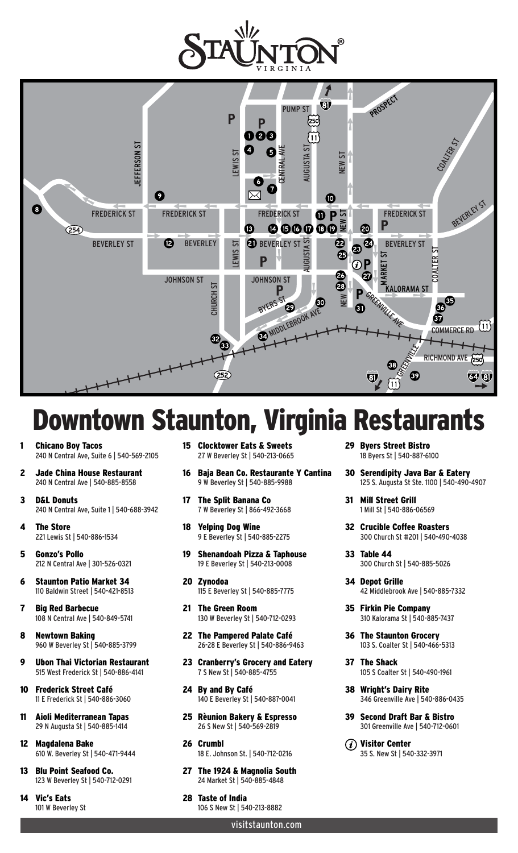



## **Owntown Staunton, Virginia Rest**

- **Chicano Boy Tacos** 240 N Central Ave, Suite 6 | 540-569-2105
- 2 Jade China House Restaurant 240 N Central Ave | 540-885-8558
- 3 D&L Donuts 240 N Central Ave, Suite 1 | 540-688-3942
- 4 The Store 221 Lewis St | 540-886-1534
- 5 Gonzo's Pollo 212 N Central Ave | 301-526-0321
- 6 Staunton Patio Market 34 110 Baldwin Street | 540-421-8513
- 7 Big Red Barbecue 108 N Central Ave | 540-849-5741
- 8 Newtown Baking 960 W Beverley St | 540-885-3799
- 9 Ubon Thai Victorian Restaurant 515 West Frederick St | 540-886-4141
- 10 Frederick Street Café 11 E Frederick St | 540-886-3060
- 11 Aioli Mediterranean Tapas 29 N Augusta St | 540-885-1414
- 12 Magdalena Bake 610 W. Beverley St | 540-471-9444
- 13 Blu Point Seafood Co. 123 W Beverley St | 540-712-0291
- 14 Vic's Eats 101 W Beverley St
- 15 Clocktower Eats & Sweets 27 W Beverley St | 540-213-0665
- 16 Baja Bean Co. Restaurante Y Cantina 9 W Beverley St | 540-885-9988
- 17 The Split Banana Co 7 W Beverley St | 866-492-3668
- 18 Yelping Dog Wine 9 E Beverley St | 540-885-2275
- 19 Shenandoah Pizza & Taphouse 19 E Beverley St | 540-213-0008
- 20 Zynodoa 115 E Beverley St | 540-885-7775
- 21 The Green Room 130 W Beverley St | 540-712-0293
- 22 The Pampered Palate Café 26-28 E Beverley St | 540-886-9463
- 23 Cranberry's Grocery and Eatery 7 S New St | 540-885-4755
- 24 By and By Café 140 E Beverley St | 540-887-0041
- 25 Rèunion Bakery & Espresso 26 S New St | 540-569-2819
- 26 Crumbl 18 E. Johnson St. | 540-712-0216
- 27 The 1924 & Magnolia South 24 Market St | 540-885-4848
- 28 Taste of India 106 S New St | 540-213-8882

visitstaunton.com

29 Byers Street Bistro 18 Byers St | 540-887-6100

- 30 Serendipity Java Bar & Eatery 125 S. Augusta St Ste. 1100 | 540-490-4907
- 31 Mill Street Grill 1 Mill St | 540-886-06569
- 32 Crucible Coffee Roasters 300 Church St #201 | 540-490-4038
- 33 Table 44 300 Church St | 540-885-5026
- 34 Depot Grille 42 Middlebrook Ave | 540-885-7332
- 35 Firkin Pie Company 310 Kalorama St | 540-885-7437
- 36 The Staunton Grocery 103 S. Coalter St | 540-466-5313
- 37 The Shack 105 S Coalter St | 540-490-1961
- 38 Wright's Dairy Rite 346 Greenville Ave | 540-886-0435
- 39 Second Draft Bar & Bistro 301 Greenville Ave | 540-712-0601
- $(i)$  Visitor Center 35 S. New St | 540-332-3971